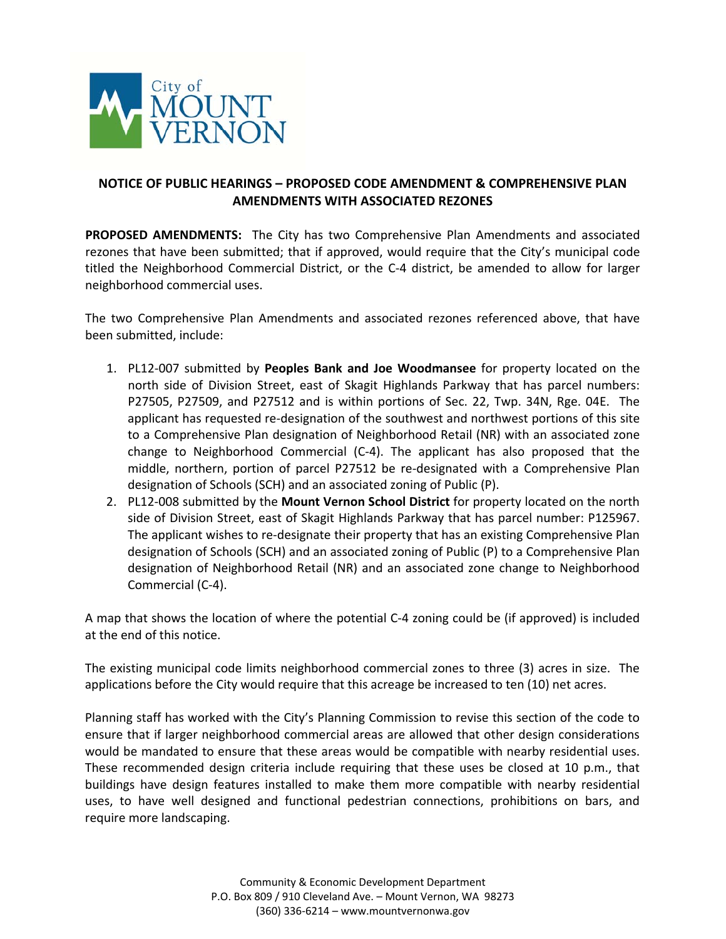

## **NOTICE OF PUBLIC HEARINGS – PROPOSED CODE AMENDMENT & COMPREHENSIVE PLAN AMENDMENTS WITH ASSOCIATED REZONES**

**PROPOSED AMENDMENTS:** The City has two Comprehensive Plan Amendments and associated rezones that have been submitted; that if approved, would require that the City's municipal code titled the Neighborhood Commercial District, or the C‐4 district, be amended to allow for larger neighborhood commercial uses.

The two Comprehensive Plan Amendments and associated rezones referenced above, that have been submitted, include:

- 1. PL12‐007 submitted by **Peoples Bank and Joe Woodmansee** for property located on the north side of Division Street, east of Skagit Highlands Parkway that has parcel numbers: P27505, P27509, and P27512 and is within portions of Sec. 22, Twp. 34N, Rge. 04E. The applicant has requested re‐designation of the southwest and northwest portions of this site to a Comprehensive Plan designation of Neighborhood Retail (NR) with an associated zone change to Neighborhood Commercial (C‐4). The applicant has also proposed that the middle, northern, portion of parcel P27512 be re-designated with a Comprehensive Plan designation of Schools (SCH) and an associated zoning of Public (P).
- 2. PL12‐008 submitted by the **Mount Vernon School District** for property located on the north side of Division Street, east of Skagit Highlands Parkway that has parcel number: P125967. The applicant wishes to re-designate their property that has an existing Comprehensive Plan designation of Schools (SCH) and an associated zoning of Public (P) to a Comprehensive Plan designation of Neighborhood Retail (NR) and an associated zone change to Neighborhood Commercial (C‐4).

A map that shows the location of where the potential C‐4 zoning could be (if approved) is included at the end of this notice.

The existing municipal code limits neighborhood commercial zones to three (3) acres in size. The applications before the City would require that this acreage be increased to ten (10) net acres.

Planning staff has worked with the City's Planning Commission to revise this section of the code to ensure that if larger neighborhood commercial areas are allowed that other design considerations would be mandated to ensure that these areas would be compatible with nearby residential uses. These recommended design criteria include requiring that these uses be closed at 10 p.m., that buildings have design features installed to make them more compatible with nearby residential uses, to have well designed and functional pedestrian connections, prohibitions on bars, and require more landscaping.